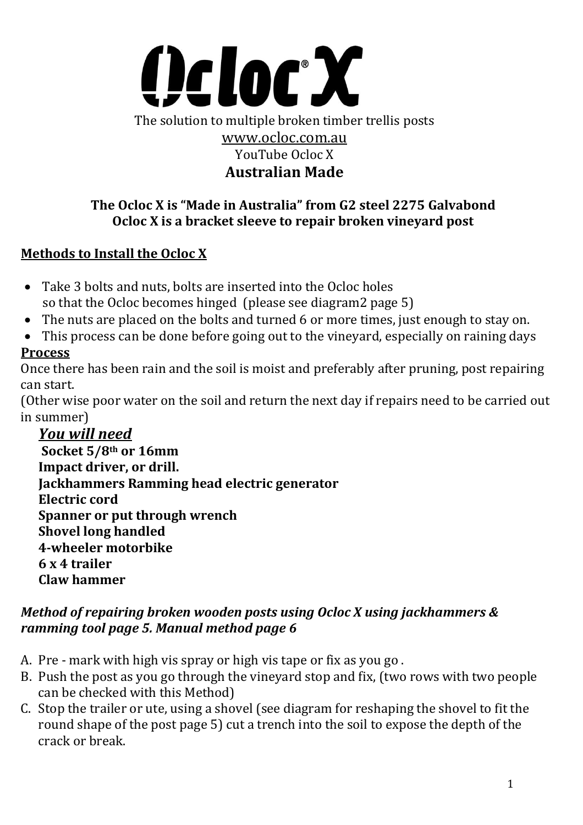

### **The Ocloc X is "Made in Australia" from G2 steel 2275 Galvabond Ocloc X is a bracket sleeve to repair broken vineyard post**

## **Methods to Install the Ocloc X**

- Take 3 bolts and nuts, bolts are inserted into the Ocloc holes so that the Ocloc becomes hinged (please see diagram2 page 5)
- The nuts are placed on the bolts and turned 6 or more times, just enough to stay on.
- This process can be done before going out to the vineyard, especially on raining days

### **Process**

Once there has been rain and the soil is moist and preferably after pruning, post repairing can start.

(Other wise poor water on the soil and return the next day if repairs need to be carried out in summer)

*You will need*  **Socket 5/8th or 16mm Impact driver, or drill. Jackhammers Ramming head electric generator Electric cord Spanner or put through wrench Shovel long handled 4-wheeler motorbike 6 x 4 trailer Claw hammer**

### *Method of repairing broken wooden posts using Ocloc X using jackhammers & ramming tool page 5. Manual method page 6*

- A. Pre mark with high vis spray or high vis tape or fix as you go .
- B. Push the post as you go through the vineyard stop and fix, (two rows with two people can be checked with this Method)
- C. Stop the trailer or ute, using a shovel (see diagram for reshaping the shovel to fit the round shape of the post page 5) cut a trench into the soil to expose the depth of the crack or break.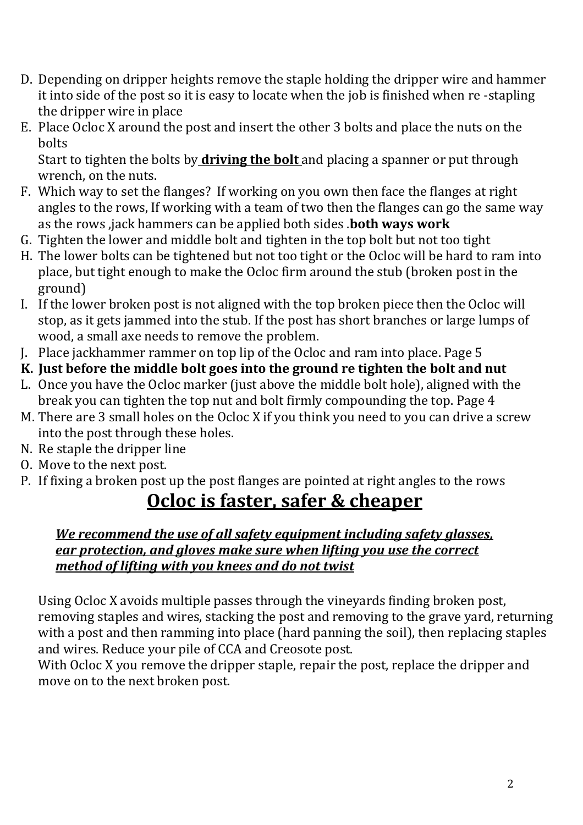- D. Depending on dripper heights remove the staple holding the dripper wire and hammer it into side of the post so it is easy to locate when the job is finished when re -stapling the dripper wire in place
- E. Place Ocloc X around the post and insert the other 3 bolts and place the nuts on the bolts

Start to tighten the bolts by **driving the bolt** and placing a spanner or put through wrench, on the nuts.

- F. Which way to set the flanges? If working on you own then face the flanges at right angles to the rows, If working with a team of two then the flanges can go the same way as the rows ,jack hammers can be applied both sides .**both ways work**
- G. Tighten the lower and middle bolt and tighten in the top bolt but not too tight
- H. The lower bolts can be tightened but not too tight or the Ocloc will be hard to ram into place, but tight enough to make the Ocloc firm around the stub (broken post in the ground)
- I. If the lower broken post is not aligned with the top broken piece then the Ocloc will stop, as it gets jammed into the stub. If the post has short branches or large lumps of wood, a small axe needs to remove the problem.
- J. Place jackhammer rammer on top lip of the Ocloc and ram into place. Page 5
- **K. Just before the middle bolt goes into the ground re tighten the bolt and nut**
- L. Once you have the Ocloc marker (just above the middle bolt hole), aligned with the break you can tighten the top nut and bolt firmly compounding the top. Page 4
- M. There are 3 small holes on the Ocloc X if you think you need to you can drive a screw into the post through these holes.
- N. Re staple the dripper line
- O. Move to the next post.
- P. If fixing a broken post up the post flanges are pointed at right angles to the rows

# **Ocloc is faster, safer & cheaper**

### *We recommend the use of all safety equipment including safety glasses, ear protection, and gloves make sure when lifting you use the correct method of lifting with you knees and do not twist*

Using Ocloc X avoids multiple passes through the vineyards finding broken post, removing staples and wires, stacking the post and removing to the grave yard, returning with a post and then ramming into place (hard panning the soil), then replacing staples and wires. Reduce your pile of CCA and Creosote post.

With Ocloc X you remove the dripper staple, repair the post, replace the dripper and move on to the next broken post.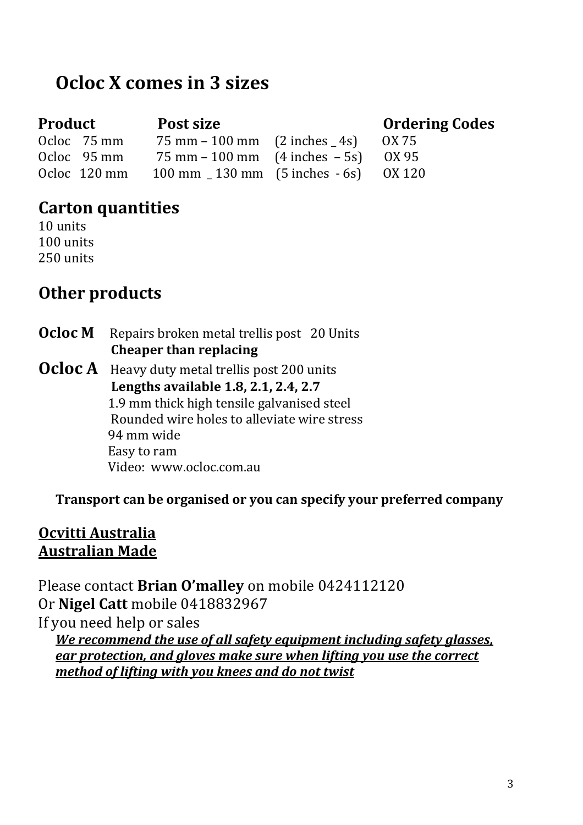# **Ocloc X comes in 3 sizes**

Ocloc  $75 \text{ mm}$   $75 \text{ mm} - 100 \text{ mm}$   $(2 \text{ inches} 4s)$   $0X 75$ Ocloc 95 mm 75 mm – 100 mm (4 inches – 5s) OX 95

## **Product** Post size **Dramage Codes Product** Post size

Ocloc 120 mm 100 mm \_ 130 mm (5 inches - 6s) OX 120

## **Carton quantities**

10 units 100 units 250 units

## **Other products**

**Ocloc M** Repairs broken metal trellis post 20 Units  **Cheaper than replacing** 

**Ocloc A** Heavy duty metal trellis post 200 units  **Lengths available 1.8, 2.1, 2.4, 2.7** 1.9 mm thick high tensile galvanised steel Rounded wire holes to alleviate wire stress 94 mm wide Easy to ram Video: www.ocloc.com.au

**Transport can be organised or you can specify your preferred company** 

## **Ocvitti Australia Australian Made**

Please contact **Brian O'malley** on mobile 0424112120 Or **Nigel Catt** mobile 0418832967 If you need help or sales *We recommend the use of all safety equipment including safety glasses,* 

*ear protection, and gloves make sure when lifting you use the correct method of lifting with you knees and do not twist*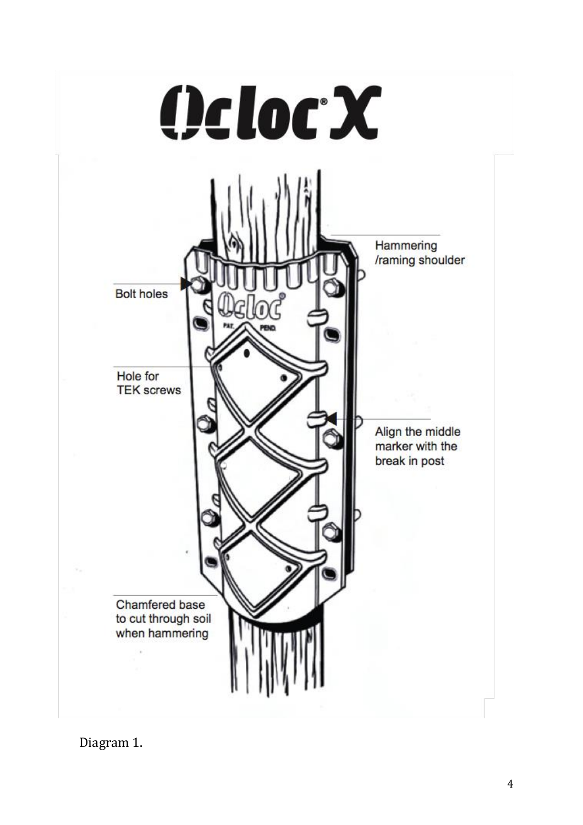

Diagram 1.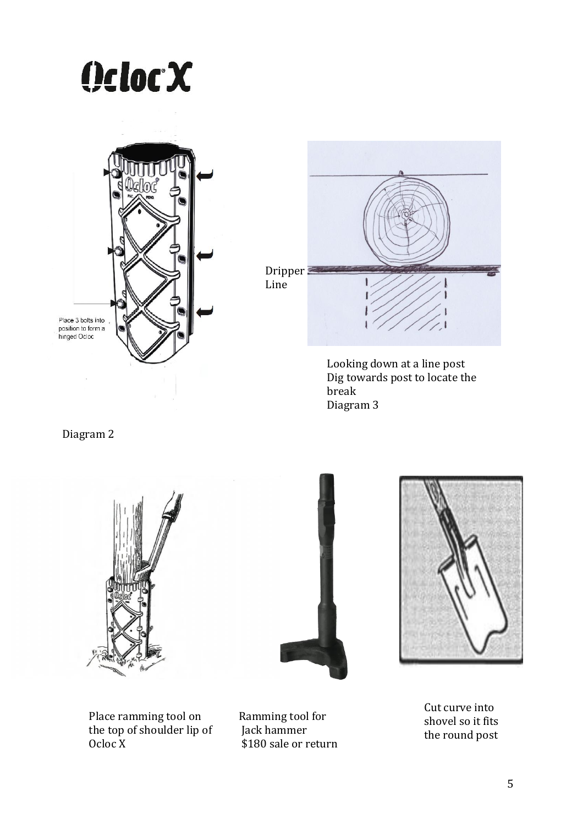





Looking down at a line post Dig towards post to locate the break Diagram 3

Diagram 2



Place ramming tool on the top of shoulder lip of Ocloc X



Ramming tool for Jack hammer \$180 sale or return



Cut curve into shovel so it fits the round post